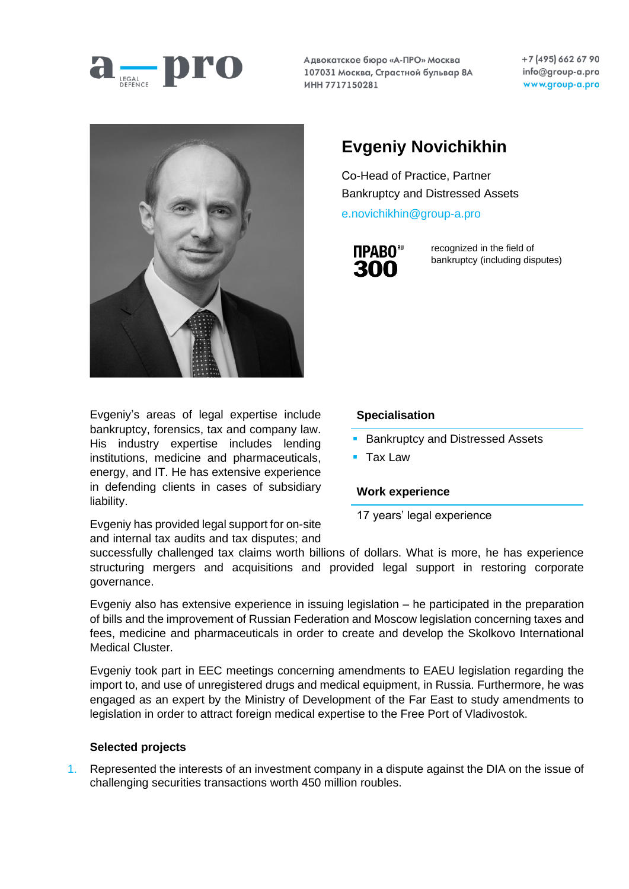

Адвокатское бюро «А-ПРО» Москва 107031 Москва, Страстной бульвар 8А ИНН 7717150281

+7 (495) 662 67 90 info@group-a.pro www.group-a.pro



Evgeniy's areas of legal expertise include bankruptcy, forensics, tax and company law. His industry expertise includes lending institutions, medicine and pharmaceuticals, energy, and IT. He has extensive experience in defending clients in cases of subsidiary liability.

**Evgeniy Novichikhin**

Сo-Head of Practice, Partner Bankruptcy and Distressed Assets

[e.novichikhin@group-a.pro](mailto:e.novichikhin@group-a.pro)



recognized in the field of bankruptcy (including disputes)

## **Specialisation**

- **Bankruptcy and Distressed Assets**
- Tax Law

## **Work experience**

17 years' legal experience

Evgeniy has provided legal support for on-site and internal tax audits and tax disputes; and

successfully challenged tax claims worth billions of dollars. What is more, he has experience structuring mergers and acquisitions and provided legal support in restoring corporate governance.

Evgeniy also has extensive experience in issuing legislation – he participated in the preparation of bills and the improvement of Russian Federation and Moscow legislation concerning taxes and fees, medicine and pharmaceuticals in order to create and develop the Skolkovo International Medical Cluster.

Evgeniy took part in EEC meetings concerning amendments to EAEU legislation regarding the import to, and use of unregistered drugs and medical equipment, in Russia. Furthermore, he was engaged as an expert by the Ministry of Development of the Far East to study amendments to legislation in order to attract foreign medical expertise to the Free Port of Vladivostok.

## **Selected projects**

1. Represented the interests of an investment company in a dispute against the DIA on the issue of challenging securities transactions worth 450 million roubles.